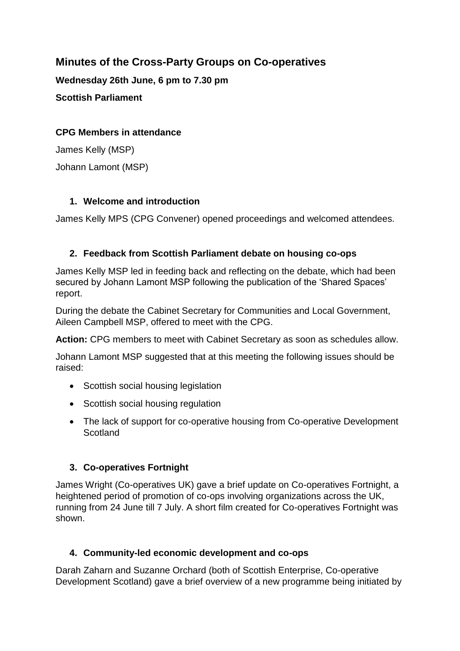# **Minutes of the Cross-Party Groups on Co-operatives**

**Wednesday 26th June, 6 pm to 7.30 pm Scottish Parliament**

#### **CPG Members in attendance**

James Kelly (MSP) Johann Lamont (MSP)

### **1. Welcome and introduction**

James Kelly MPS (CPG Convener) opened proceedings and welcomed attendees.

## **2. Feedback from Scottish Parliament debate on housing co-ops**

James Kelly MSP led in feeding back and reflecting on the debate, which had been secured by Johann Lamont MSP following the publication of the 'Shared Spaces' report.

During the debate the Cabinet Secretary for Communities and Local Government, Aileen Campbell MSP, offered to meet with the CPG.

**Action:** CPG members to meet with Cabinet Secretary as soon as schedules allow.

Johann Lamont MSP suggested that at this meeting the following issues should be raised:

- Scottish social housing legislation
- Scottish social housing regulation
- The lack of support for co-operative housing from Co-operative Development **Scotland**

## **3. Co-operatives Fortnight**

James Wright (Co-operatives UK) gave a brief update on Co-operatives Fortnight, a heightened period of promotion of co-ops involving organizations across the UK, running from 24 June till 7 July. A short film created for Co-operatives Fortnight was shown.

#### **4. Community-led economic development and co-ops**

Darah Zaharn and Suzanne Orchard (both of Scottish Enterprise, Co-operative Development Scotland) gave a brief overview of a new programme being initiated by